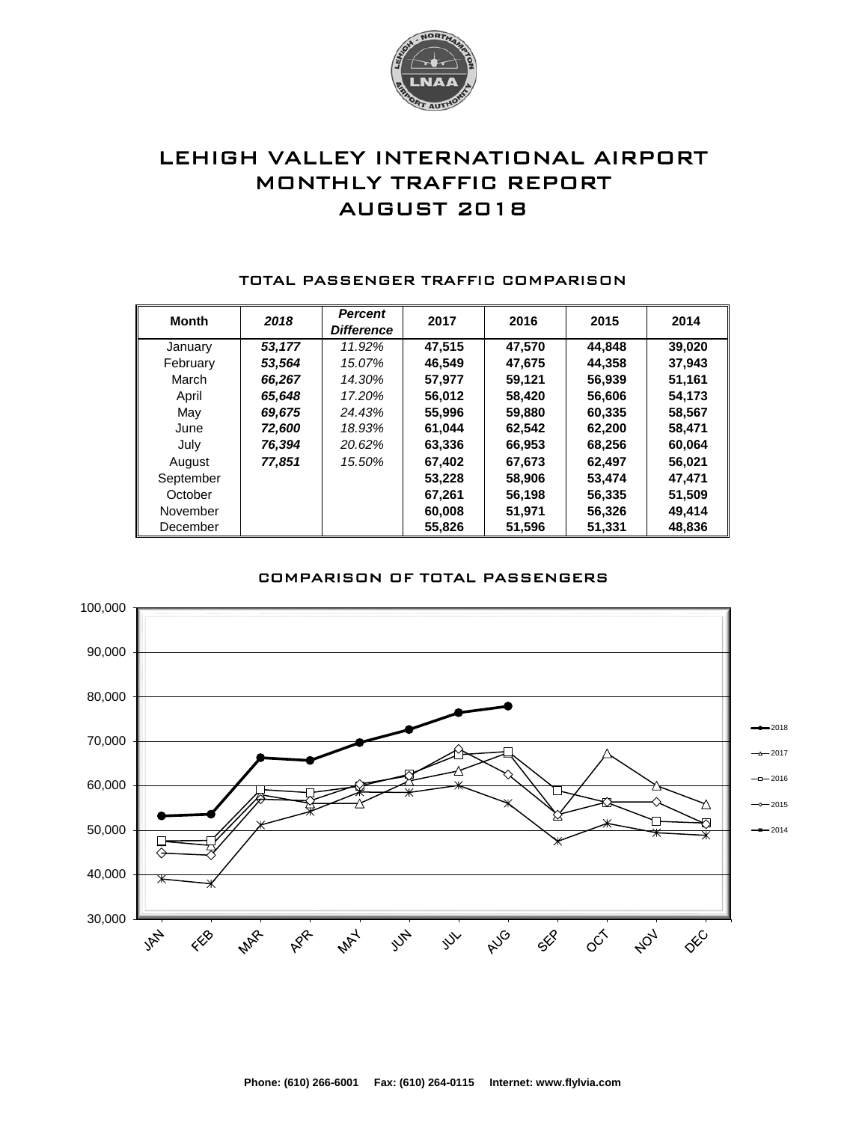

# LEHIGH VALLEY INTERNATIONAL AIRPORT MONTHLY TRAFFIC REPORT AUGUST 2018

| <b>Month</b> | 2018   | <b>Percent</b><br><b>Difference</b> | 2017   | 2016   | 2015   | 2014   |
|--------------|--------|-------------------------------------|--------|--------|--------|--------|
| January      | 53,177 | 11.92%                              | 47,515 | 47,570 | 44,848 | 39,020 |
| February     | 53,564 | 15.07%                              | 46,549 | 47.675 | 44,358 | 37,943 |
| March        | 66.267 | 14.30%                              | 57.977 | 59.121 | 56,939 | 51,161 |
| April        | 65,648 | 17.20%                              | 56.012 | 58,420 | 56,606 | 54,173 |
| May          | 69,675 | 24.43%                              | 55,996 | 59,880 | 60,335 | 58,567 |
| June         | 72,600 | 18.93%                              | 61.044 | 62,542 | 62,200 | 58,471 |
| July         | 76,394 | 20.62%                              | 63,336 | 66,953 | 68,256 | 60,064 |
| August       | 77,851 | 15.50%                              | 67.402 | 67.673 | 62.497 | 56,021 |
| September    |        |                                     | 53.228 | 58,906 | 53,474 | 47,471 |
| October      |        |                                     | 67,261 | 56,198 | 56,335 | 51,509 |
| November     |        |                                     | 60.008 | 51,971 | 56,326 | 49,414 |
| December     |        |                                     | 55,826 | 51,596 | 51,331 | 48,836 |

#### TOTAL PASSENGER TRAFFIC COMPARISON

### COMPARISON OF TOTAL PASSENGERS

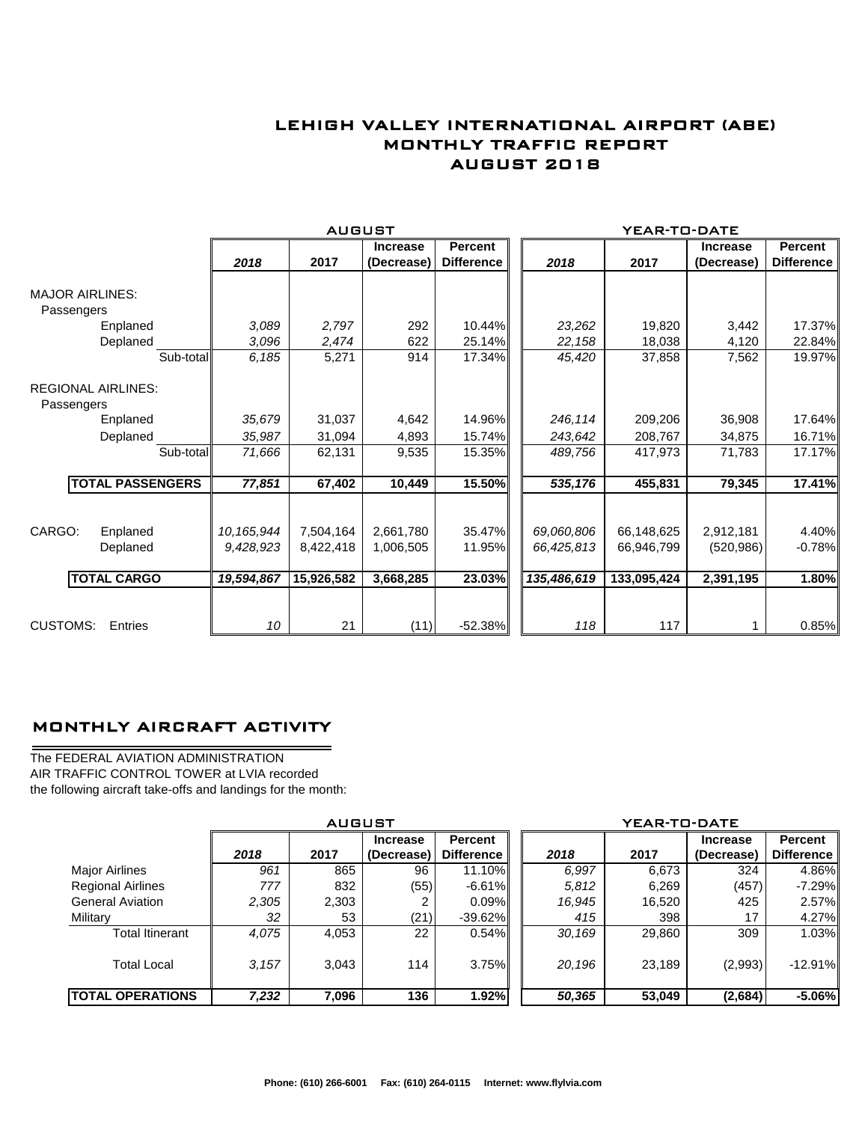## LEHIGH VALLEY INTERNATIONAL AIRPORT (ABE) MONTHLY TRAFFIC REPORT AUGUST 2018

|                                         |                         |                         | <b>AUGUST</b>          |                        |                   |                          | YEAR-TO-DATE             |                         |                   |
|-----------------------------------------|-------------------------|-------------------------|------------------------|------------------------|-------------------|--------------------------|--------------------------|-------------------------|-------------------|
|                                         |                         |                         |                        | <b>Increase</b>        | <b>Percent</b>    |                          |                          | <b>Increase</b>         | Percent           |
|                                         |                         | 2018                    | 2017                   | (Decrease)             | <b>Difference</b> | 2018                     | 2017                     | (Decrease)              | <b>Difference</b> |
| <b>MAJOR AIRLINES:</b><br>Passengers    |                         |                         |                        |                        |                   |                          |                          |                         |                   |
|                                         | Enplaned<br>Deplaned    | 3.089<br>3,096          | 2,797                  | 292<br>622             | 10.44%            | 23,262                   | 19,820                   | 3,442<br>4,120          | 17.37%            |
|                                         | Sub-total               | 6,185                   | 2,474<br>5,271         | 914                    | 25.14%<br>17.34%  | 22,158<br>45,420         | 18,038<br>37,858         | 7,562                   | 22.84%<br>19.97%  |
| <b>REGIONAL AIRLINES:</b><br>Passengers |                         |                         |                        |                        |                   |                          |                          |                         |                   |
|                                         | Enplaned                | 35,679                  | 31,037                 | 4,642                  | 14.96%            | 246,114                  | 209,206                  | 36,908                  | 17.64%            |
|                                         | Deplaned                | 35,987                  | 31,094                 | 4,893                  | 15.74%            | 243,642                  | 208,767                  | 34,875                  | 16.71%            |
|                                         | Sub-total               | 71,666                  | 62,131                 | 9,535                  | 15.35%            | 489,756                  | 417,973                  | 71,783                  | 17.17%            |
|                                         | <b>TOTAL PASSENGERS</b> | 77,851                  | 67,402                 | 10,449                 | 15.50%            | 535,176                  | 455,831                  | 79,345                  | 17.41%            |
| CARGO:                                  | Enplaned<br>Deplaned    | 10,165,944<br>9,428,923 | 7,504,164<br>8,422,418 | 2,661,780<br>1,006,505 | 35.47%<br>11.95%  | 69,060,806<br>66,425,813 | 66,148,625<br>66,946,799 | 2,912,181<br>(520, 986) | 4.40%<br>$-0.78%$ |
|                                         | <b>TOTAL CARGO</b>      | 19,594,867              | 15,926,582             | 3,668,285              | 23.03%            | 135,486,619              | 133,095,424              | 2,391,195               | 1.80%             |
| <b>CUSTOMS:</b>                         | Entries                 | 10                      | 21                     | (11)                   | $-52.38\%$        | 118                      | 117                      |                         | 0.85%             |

### MONTHLY AIRCRAFT ACTIVITY

The FEDERAL AVIATION ADMINISTRATION AIR TRAFFIC CONTROL TOWER at LVIA recorded the following aircraft take-offs and landings for the month:

÷.

|                          | <b>AUGUST</b> |       |                 |                   |  | YEAR-TO-DATE |        |                 |            |  |
|--------------------------|---------------|-------|-----------------|-------------------|--|--------------|--------|-----------------|------------|--|
|                          |               |       | <b>Increase</b> | <b>Percent</b>    |  |              |        | <b>Increase</b> | Percent    |  |
|                          | 2018          | 2017  | (Decrease)      | <b>Difference</b> |  | 2018         | 2017   | (Decrease)      | Difference |  |
| <b>Major Airlines</b>    | 961           | 865   | 96              | 11.10%            |  | 6,997        | 6,673  | 324             | 4.86%      |  |
| <b>Regional Airlines</b> | 777           | 832   | (55)            | $-6.61\%$         |  | 5,812        | 6,269  | (457)           | $-7.29\%$  |  |
| <b>General Aviation</b>  | 2,305         | 2,303 |                 | $0.09\%$          |  | 16,945       | 16,520 | 425             | 2.57%      |  |
| Military                 | 32            | 53    | (21)            | $-39.62\%$        |  | 415          | 398    | 17              | 4.27%I     |  |
| <b>Total Itinerant</b>   | 4.075         | 4,053 | 22              | $0.54\%$          |  | 30,169       | 29,860 | 309             | 1.03%      |  |
| <b>Total Local</b>       | 3,157         | 3.043 | 114             | 3.75%             |  | 20,196       | 23,189 | (2,993)         | $-12.91%$  |  |
| <b>ITOTAL OPERATIONS</b> | 7.232         | 7,096 | 136             | 1.92%             |  | 50,365       | 53,049 | (2,684)         | $-5.06%$   |  |